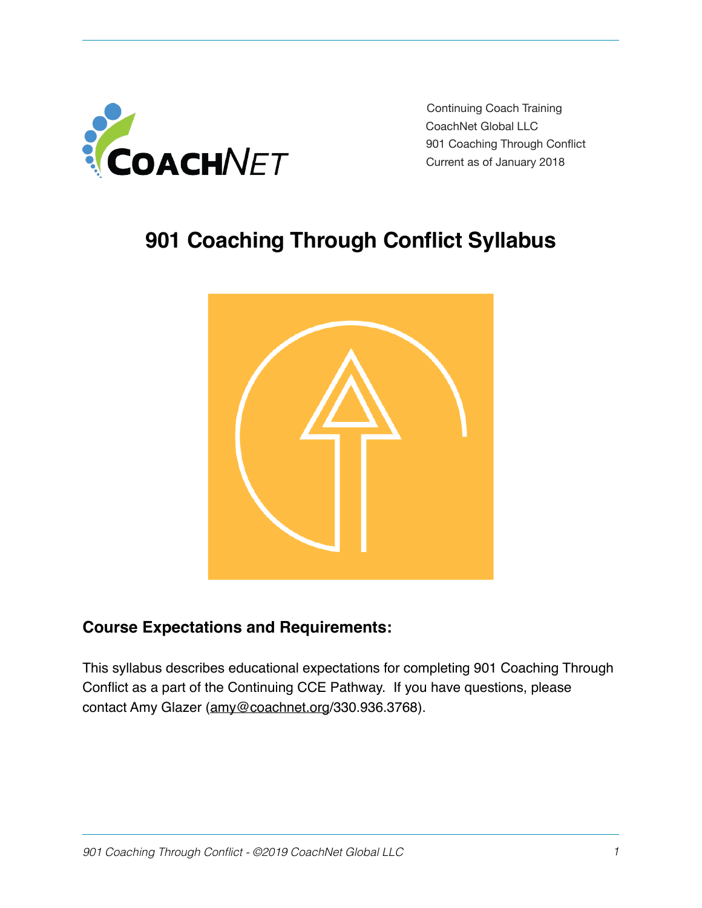

Continuing Coach Training CoachNet Global LLC 901 Coaching Through Conflict Current as of January 2018

# **901 Coaching Through Conflict Syllabus**



# **Course Expectations and Requirements:**

This syllabus describes educational expectations for completing 901 Coaching Through Conflict as a part of the Continuing CCE Pathway. If you have questions, please contact Amy Glazer [\(amy@coachnet.org/](mailto:amy@coachnet.org)330.936.3768).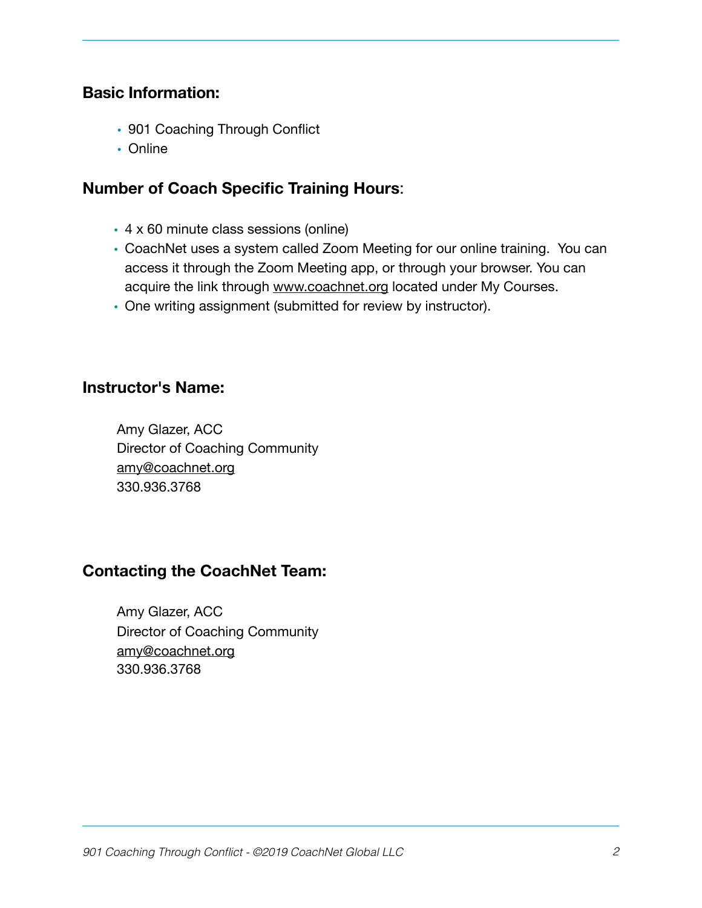#### **Basic Information:**

- 901 Coaching Through Conflict
- Online

## **Number of Coach Specific Training Hours**:

- 4 x 60 minute class sessions (online)
- CoachNet uses a system called Zoom Meeting for our online training. You can access it through the Zoom Meeting app, or through your browser. You can acquire the link through [www.coachnet.org](http://www.coachnet.org) located under My Courses.
- One writing assignment (submitted for review by instructor).

#### **Instructor's Name:**

Amy Glazer, ACC Director of Coaching Community [amy@coachnet.org](mailto:amy@coachnet.org) 330.936.3768

## **Contacting the CoachNet Team:**

Amy Glazer, ACC Director of Coaching Community [amy@coachnet.org](mailto:amy@coachnet.org) 330.936.3768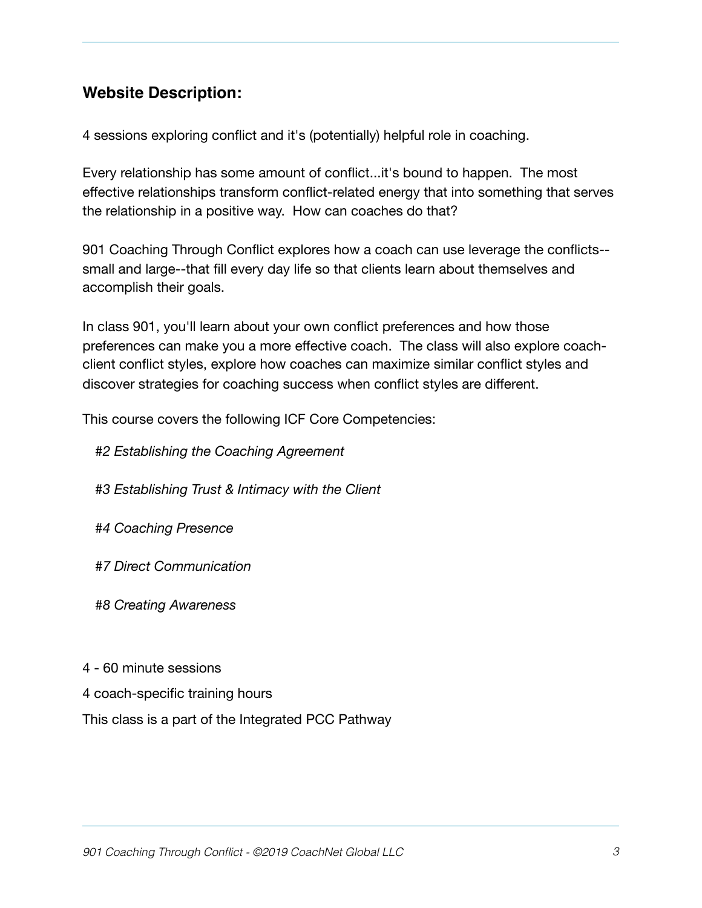# **Website Description:**

4 sessions exploring conflict and it's (potentially) helpful role in coaching.

Every relationship has some amount of conflict...it's bound to happen. The most effective relationships transform conflict-related energy that into something that serves the relationship in a positive way. How can coaches do that?

901 Coaching Through Conflict explores how a coach can use leverage the conflicts- small and large--that fill every day life so that clients learn about themselves and accomplish their goals.

In class 901, you'll learn about your own conflict preferences and how those preferences can make you a more effective coach. The class will also explore coachclient conflict styles, explore how coaches can maximize similar conflict styles and discover strategies for coaching success when conflict styles are different.

This course covers the following ICF Core Competencies:

- *#2 Establishing the Coaching Agreement*
- *#3 Establishing Trust & Intimacy with the Client*
- *#4 Coaching Presence*
- *#7 Direct Communication*
- *#8 Creating Awareness*
- 4 60 minute sessions
- 4 coach-specific training hours

This class is a part of the Integrated PCC Pathway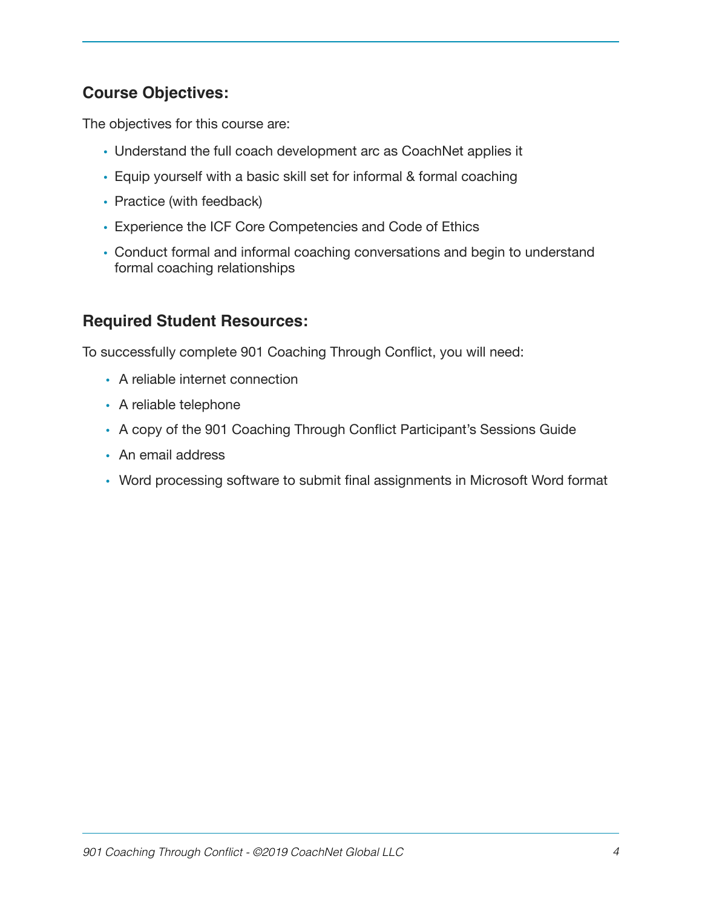# **Course Objectives:**

The objectives for this course are:

- Understand the full coach development arc as CoachNet applies it
- Equip yourself with a basic skill set for informal & formal coaching
- Practice (with feedback)
- Experience the ICF Core Competencies and Code of Ethics
- Conduct formal and informal coaching conversations and begin to understand formal coaching relationships

## **Required Student Resources:**

To successfully complete 901 Coaching Through Conflict, you will need:

- A reliable internet connection
- A reliable telephone
- A copy of the 901 Coaching Through Conflict Participant's Sessions Guide
- An email address
- Word processing software to submit final assignments in Microsoft Word format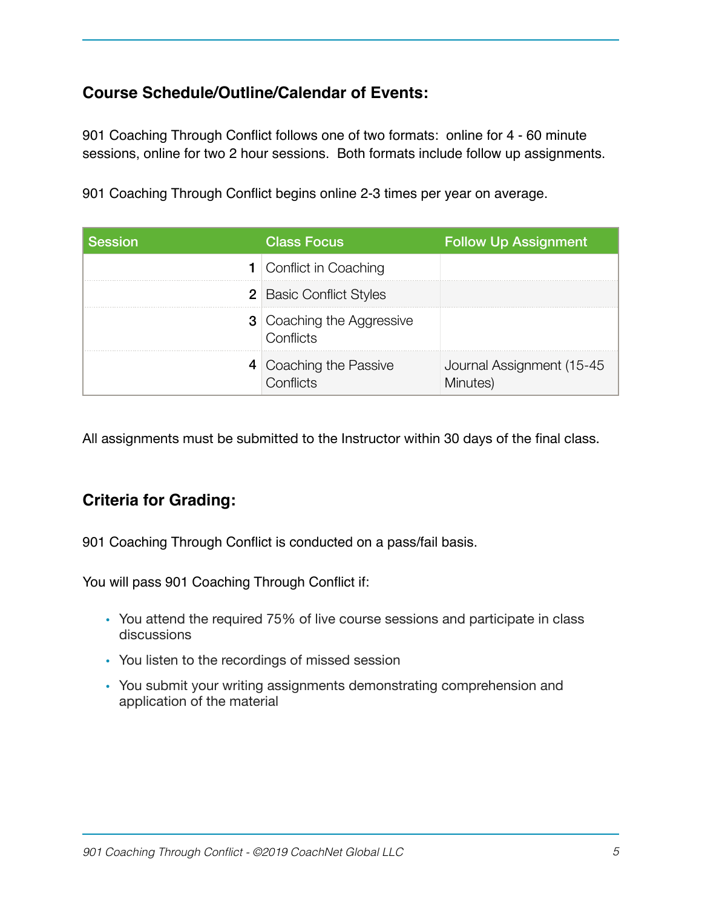# **Course Schedule/Outline/Calendar of Events:**

901 Coaching Through Conflict follows one of two formats: online for 4 - 60 minute sessions, online for two 2 hour sessions. Both formats include follow up assignments.

901 Coaching Through Conflict begins online 2-3 times per year on average.

| <b>Session</b> | <b>Class Focus</b>                            | <b>Follow Up Assignment</b>            |
|----------------|-----------------------------------------------|----------------------------------------|
|                | <b>1</b> Conflict in Coaching                 |                                        |
|                | <b>2</b> Basic Conflict Styles                |                                        |
|                | <b>3</b> Coaching the Aggressive<br>Conflicts |                                        |
|                | 4 Coaching the Passive<br>Conflicts           | Journal Assignment (15-45)<br>Minutes) |

All assignments must be submitted to the Instructor within 30 days of the final class.

# **Criteria for Grading:**

901 Coaching Through Conflict is conducted on a pass/fail basis.

You will pass 901 Coaching Through Conflict if:

- You attend the required 75% of live course sessions and participate in class discussions
- You listen to the recordings of missed session
- You submit your writing assignments demonstrating comprehension and application of the material